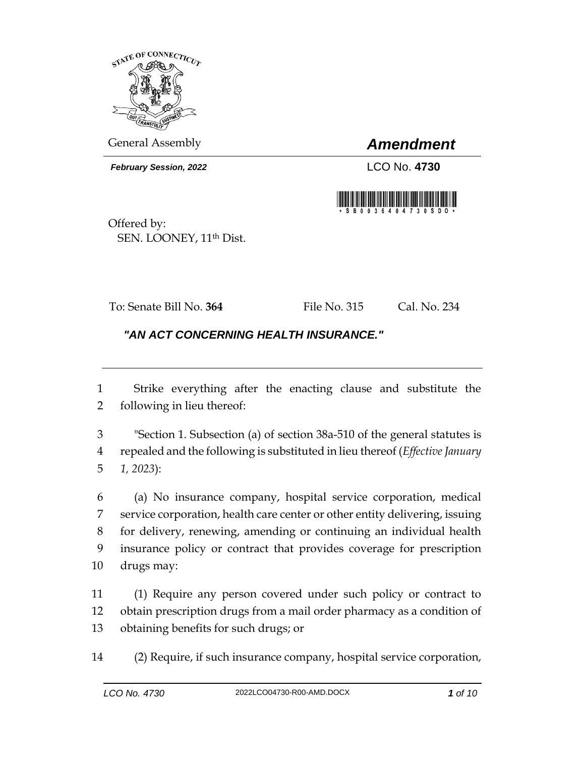

General Assembly *Amendment*

*February Session, 2022* LCO No. **4730**



Offered by: SEN. LOONEY, 11<sup>th</sup> Dist.

To: Senate Bill No. **364** File No. 315 Cal. No. 234

## *"AN ACT CONCERNING HEALTH INSURANCE."*

 Strike everything after the enacting clause and substitute the following in lieu thereof:

 "Section 1. Subsection (a) of section 38a-510 of the general statutes is repealed and the following is substituted in lieu thereof (*Effective January 1, 2023*):

 (a) No insurance company, hospital service corporation, medical service corporation, health care center or other entity delivering, issuing for delivery, renewing, amending or continuing an individual health insurance policy or contract that provides coverage for prescription drugs may:

 (1) Require any person covered under such policy or contract to obtain prescription drugs from a mail order pharmacy as a condition of obtaining benefits for such drugs; or

(2) Require, if such insurance company, hospital service corporation,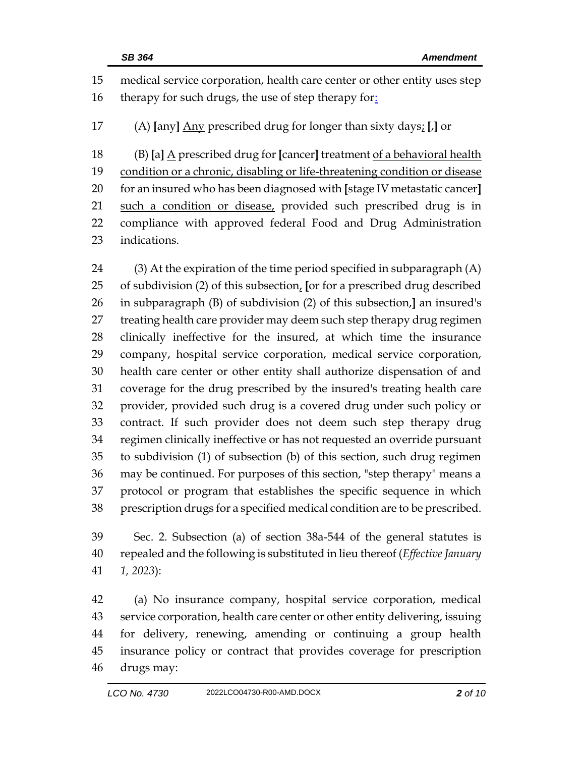medical service corporation, health care center or other entity uses step 16 therapy for such drugs, the use of step therapy for: (A) **[**any**]** Any prescribed drug for longer than sixty days; **[**,**]** or (B) **[**a**]** A prescribed drug for **[**cancer**]** treatment of a behavioral health 19 condition or a chronic, disabling or life-threatening condition or disease for an insured who has been diagnosed with **[**stage IV metastatic cancer**]** such a condition or disease, provided such prescribed drug is in compliance with approved federal Food and Drug Administration indications.

 (3) At the expiration of the time period specified in subparagraph (A) of subdivision (2) of this subsection, **[**or for a prescribed drug described in subparagraph (B) of subdivision (2) of this subsection,**]** an insured's treating health care provider may deem such step therapy drug regimen clinically ineffective for the insured, at which time the insurance company, hospital service corporation, medical service corporation, health care center or other entity shall authorize dispensation of and coverage for the drug prescribed by the insured's treating health care provider, provided such drug is a covered drug under such policy or contract. If such provider does not deem such step therapy drug regimen clinically ineffective or has not requested an override pursuant to subdivision (1) of subsection (b) of this section, such drug regimen may be continued. For purposes of this section, "step therapy" means a protocol or program that establishes the specific sequence in which prescription drugs for a specified medical condition are to be prescribed.

 Sec. 2. Subsection (a) of section 38a-544 of the general statutes is repealed and the following is substituted in lieu thereof (*Effective January 1, 2023*):

 (a) No insurance company, hospital service corporation, medical service corporation, health care center or other entity delivering, issuing for delivery, renewing, amending or continuing a group health insurance policy or contract that provides coverage for prescription drugs may: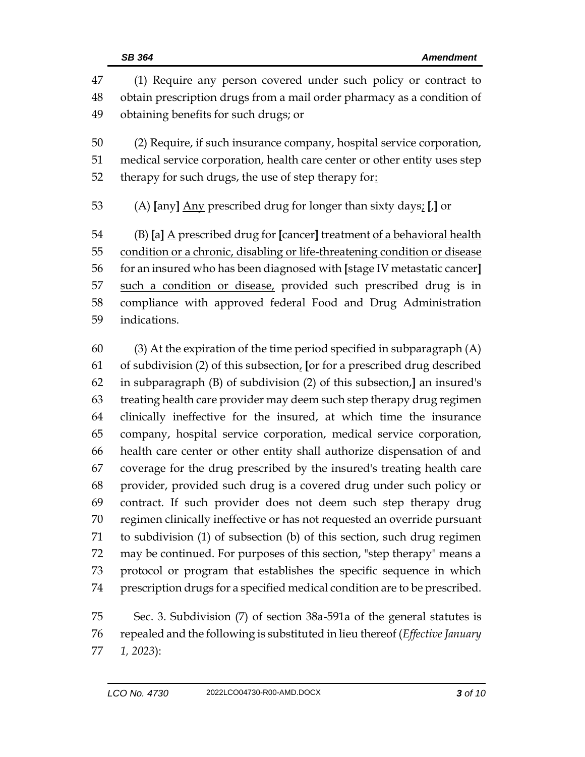| 47            | (1) Require any person covered under such policy or contract to                       |  |  |
|---------------|---------------------------------------------------------------------------------------|--|--|
| 48            | obtain prescription drugs from a mail order pharmacy as a condition of                |  |  |
| 49            | obtaining benefits for such drugs; or                                                 |  |  |
| 50            | (2) Require, if such insurance company, hospital service corporation,                 |  |  |
| 51            | medical service corporation, health care center or other entity uses step             |  |  |
| 52            | therapy for such drugs, the use of step therapy for:                                  |  |  |
| 53            | (A) [any] Any prescribed drug for longer than sixty days; [J] or                      |  |  |
| 54            | (B) [a] $\underline{A}$ prescribed drug for [cancer] treatment of a behavioral health |  |  |
| 55            | condition or a chronic, disabling or life-threatening condition or disease            |  |  |
| 56            | for an insured who has been diagnosed with [stage IV metastatic cancer]               |  |  |
| 57            | such a condition or disease, provided such prescribed drug is in                      |  |  |
| 58            | compliance with approved federal Food and Drug Administration                         |  |  |
| 59            | indications.                                                                          |  |  |
| 60            | $(3)$ At the expiration of the time period specified in subparagraph $(A)$            |  |  |
| 61            | of subdivision (2) of this subsection, [or for a prescribed drug described            |  |  |
| 62            | in subparagraph (B) of subdivision (2) of this subsection,] an insured's              |  |  |
| 63            | treating health care provider may deem such step therapy drug regimen                 |  |  |
| 64            | clinically ineffective for the insured, at which time the insurance                   |  |  |
| 65            | company, hospital service corporation, medical service corporation,                   |  |  |
| 66            | health care center or other entity shall authorize dispensation of and                |  |  |
| 67            | coverage for the drug prescribed by the insured's treating health care                |  |  |
| $\sim$ $\sim$ |                                                                                       |  |  |

 provider, provided such drug is a covered drug under such policy or contract. If such provider does not deem such step therapy drug regimen clinically ineffective or has not requested an override pursuant to subdivision (1) of subsection (b) of this section, such drug regimen may be continued. For purposes of this section, "step therapy" means a protocol or program that establishes the specific sequence in which prescription drugs for a specified medical condition are to be prescribed.

 Sec. 3. Subdivision (7) of section 38a-591a of the general statutes is repealed and the following is substituted in lieu thereof (*Effective January 1, 2023*):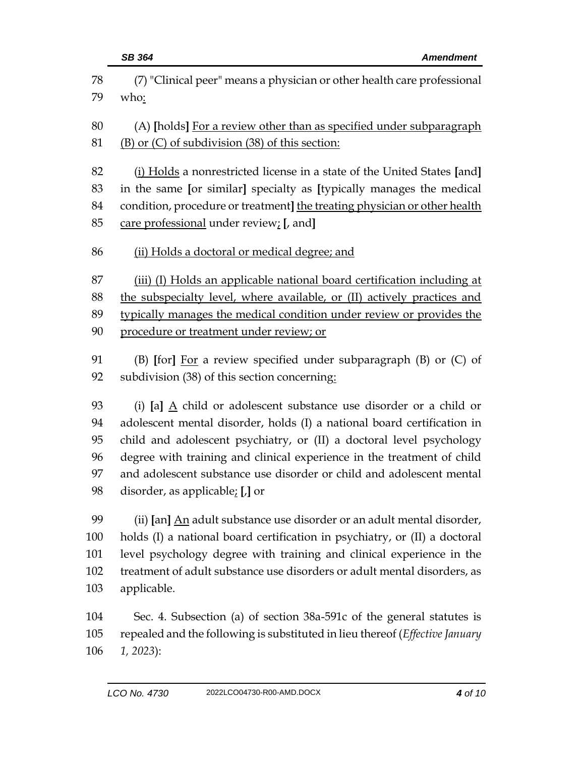|     | <b>SB 364</b><br><b>Amendment</b>                                                                                                                |  |  |
|-----|--------------------------------------------------------------------------------------------------------------------------------------------------|--|--|
| 78  | (7) "Clinical peer" means a physician or other health care professional                                                                          |  |  |
| 79  | who:                                                                                                                                             |  |  |
|     |                                                                                                                                                  |  |  |
| 80  | (A) [holds] For a review other than as specified under subparagraph                                                                              |  |  |
| 81  | (B) or (C) of subdivision (38) of this section:                                                                                                  |  |  |
| 82  | (i) Holds a nonrestricted license in a state of the United States [and]                                                                          |  |  |
| 83  | in the same [or similar] specialty as [typically manages the medical                                                                             |  |  |
| 84  | condition, procedure or treatment] the treating physician or other health                                                                        |  |  |
| 85  | care professional under review; [, and]                                                                                                          |  |  |
|     |                                                                                                                                                  |  |  |
| 86  | (ii) Holds a doctoral or medical degree; and                                                                                                     |  |  |
| 87  | (iii) (I) Holds an applicable national board certification including at                                                                          |  |  |
| 88  | the subspecialty level, where available, or (II) actively practices and                                                                          |  |  |
| 89  | typically manages the medical condition under review or provides the                                                                             |  |  |
| 90  | procedure or treatment under review; or                                                                                                          |  |  |
| 91  |                                                                                                                                                  |  |  |
| 92  | (B) [for] $\underline{For}$ a review specified under subparagraph (B) or (C) of                                                                  |  |  |
|     | subdivision (38) of this section concerning:                                                                                                     |  |  |
| 93  | (i) [a] $\underline{A}$ child or adolescent substance use disorder or a child or                                                                 |  |  |
| 94  | adolescent mental disorder, holds (I) a national board certification in                                                                          |  |  |
| 95  | child and adolescent psychiatry, or (II) a doctoral level psychology                                                                             |  |  |
| 96  | degree with training and clinical experience in the treatment of child                                                                           |  |  |
| 97  | and adolescent substance use disorder or child and adolescent mental                                                                             |  |  |
| 98  | disorder, as applicable; $[J]$ or                                                                                                                |  |  |
| 99  |                                                                                                                                                  |  |  |
| 100 | (ii) [an] An adult substance use disorder or an adult mental disorder,                                                                           |  |  |
| 101 | holds (I) a national board certification in psychiatry, or (II) a doctoral                                                                       |  |  |
| 102 | level psychology degree with training and clinical experience in the<br>treatment of adult substance use disorders or adult mental disorders, as |  |  |
|     |                                                                                                                                                  |  |  |

applicable.

 Sec. 4. Subsection (a) of section 38a-591c of the general statutes is repealed and the following is substituted in lieu thereof (*Effective January 1, 2023*):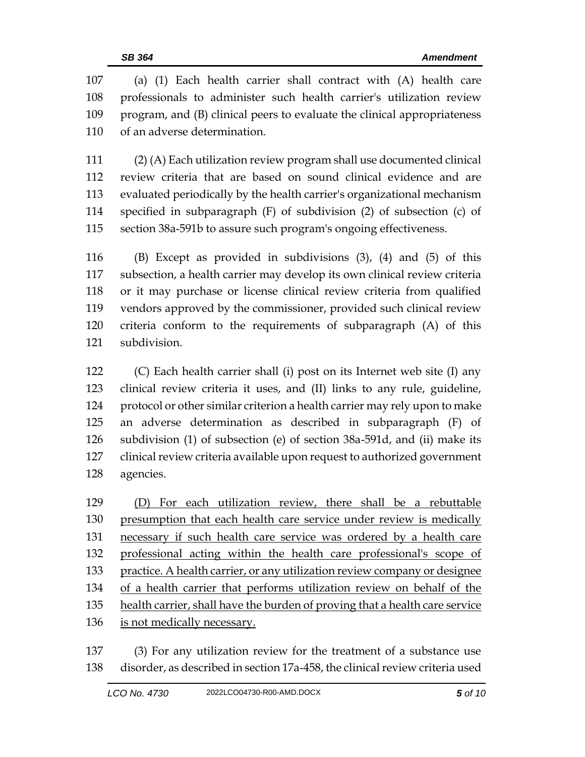(a) (1) Each health carrier shall contract with (A) health care professionals to administer such health carrier's utilization review program, and (B) clinical peers to evaluate the clinical appropriateness of an adverse determination.

 (2) (A) Each utilization review program shall use documented clinical review criteria that are based on sound clinical evidence and are evaluated periodically by the health carrier's organizational mechanism specified in subparagraph (F) of subdivision (2) of subsection (c) of section 38a-591b to assure such program's ongoing effectiveness.

 (B) Except as provided in subdivisions (3), (4) and (5) of this subsection, a health carrier may develop its own clinical review criteria or it may purchase or license clinical review criteria from qualified vendors approved by the commissioner, provided such clinical review criteria conform to the requirements of subparagraph (A) of this subdivision.

 (C) Each health carrier shall (i) post on its Internet web site (I) any clinical review criteria it uses, and (II) links to any rule, guideline, protocol or other similar criterion a health carrier may rely upon to make an adverse determination as described in subparagraph (F) of subdivision (1) of subsection (e) of section 38a-591d, and (ii) make its clinical review criteria available upon request to authorized government agencies.

 (D) For each utilization review, there shall be a rebuttable presumption that each health care service under review is medically necessary if such health care service was ordered by a health care professional acting within the health care professional's scope of practice. A health carrier, or any utilization review company or designee of a health carrier that performs utilization review on behalf of the 135 health carrier, shall have the burden of proving that a health care service is not medically necessary.

 (3) For any utilization review for the treatment of a substance use disorder, as described in section 17a-458, the clinical review criteria used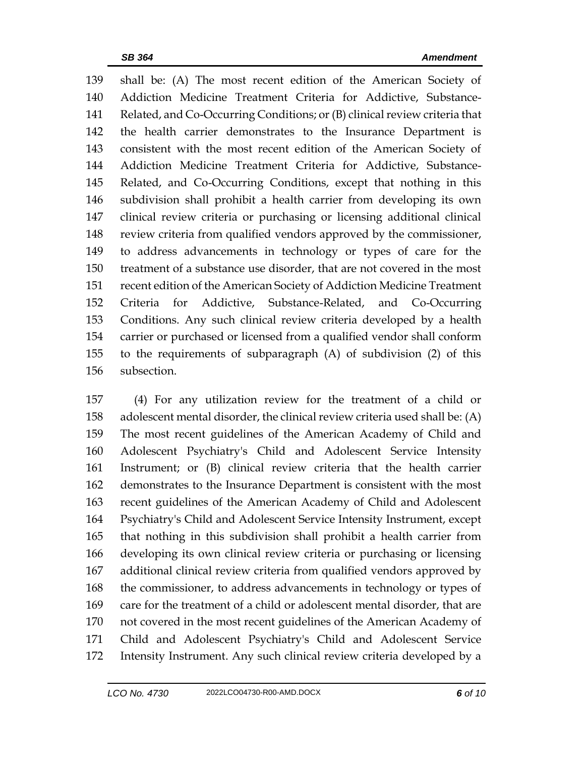shall be: (A) The most recent edition of the American Society of Addiction Medicine Treatment Criteria for Addictive, Substance- Related, and Co-Occurring Conditions; or (B) clinical review criteria that the health carrier demonstrates to the Insurance Department is consistent with the most recent edition of the American Society of Addiction Medicine Treatment Criteria for Addictive, Substance- Related, and Co-Occurring Conditions, except that nothing in this subdivision shall prohibit a health carrier from developing its own clinical review criteria or purchasing or licensing additional clinical review criteria from qualified vendors approved by the commissioner, to address advancements in technology or types of care for the treatment of a substance use disorder, that are not covered in the most recent edition of the American Society of Addiction Medicine Treatment Criteria for Addictive, Substance-Related, and Co-Occurring Conditions. Any such clinical review criteria developed by a health carrier or purchased or licensed from a qualified vendor shall conform to the requirements of subparagraph (A) of subdivision (2) of this subsection.

 (4) For any utilization review for the treatment of a child or adolescent mental disorder, the clinical review criteria used shall be: (A) The most recent guidelines of the American Academy of Child and Adolescent Psychiatry's Child and Adolescent Service Intensity Instrument; or (B) clinical review criteria that the health carrier demonstrates to the Insurance Department is consistent with the most recent guidelines of the American Academy of Child and Adolescent Psychiatry's Child and Adolescent Service Intensity Instrument, except that nothing in this subdivision shall prohibit a health carrier from developing its own clinical review criteria or purchasing or licensing additional clinical review criteria from qualified vendors approved by the commissioner, to address advancements in technology or types of care for the treatment of a child or adolescent mental disorder, that are not covered in the most recent guidelines of the American Academy of Child and Adolescent Psychiatry's Child and Adolescent Service Intensity Instrument. Any such clinical review criteria developed by a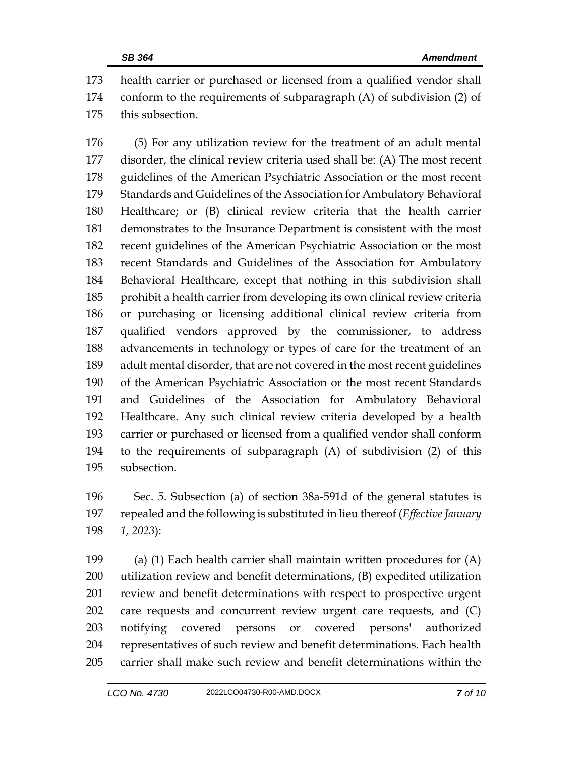health carrier or purchased or licensed from a qualified vendor shall conform to the requirements of subparagraph (A) of subdivision (2) of this subsection.

 (5) For any utilization review for the treatment of an adult mental disorder, the clinical review criteria used shall be: (A) The most recent guidelines of the American Psychiatric Association or the most recent Standards and Guidelines of the Association for Ambulatory Behavioral Healthcare; or (B) clinical review criteria that the health carrier demonstrates to the Insurance Department is consistent with the most recent guidelines of the American Psychiatric Association or the most recent Standards and Guidelines of the Association for Ambulatory Behavioral Healthcare, except that nothing in this subdivision shall prohibit a health carrier from developing its own clinical review criteria or purchasing or licensing additional clinical review criteria from qualified vendors approved by the commissioner, to address advancements in technology or types of care for the treatment of an adult mental disorder, that are not covered in the most recent guidelines of the American Psychiatric Association or the most recent Standards and Guidelines of the Association for Ambulatory Behavioral Healthcare. Any such clinical review criteria developed by a health carrier or purchased or licensed from a qualified vendor shall conform to the requirements of subparagraph (A) of subdivision (2) of this subsection.

 Sec. 5. Subsection (a) of section 38a-591d of the general statutes is repealed and the following is substituted in lieu thereof (*Effective January 1, 2023*):

 (a) (1) Each health carrier shall maintain written procedures for (A) utilization review and benefit determinations, (B) expedited utilization review and benefit determinations with respect to prospective urgent care requests and concurrent review urgent care requests, and (C) notifying covered persons or covered persons' authorized representatives of such review and benefit determinations. Each health carrier shall make such review and benefit determinations within the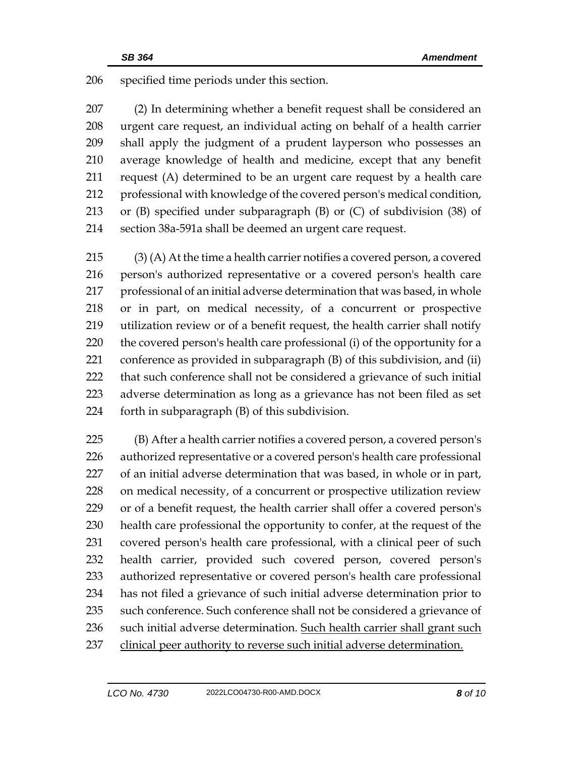specified time periods under this section.

 (2) In determining whether a benefit request shall be considered an urgent care request, an individual acting on behalf of a health carrier shall apply the judgment of a prudent layperson who possesses an average knowledge of health and medicine, except that any benefit request (A) determined to be an urgent care request by a health care professional with knowledge of the covered person's medical condition, or (B) specified under subparagraph (B) or (C) of subdivision (38) of section 38a-591a shall be deemed an urgent care request.

 (3) (A) At the time a health carrier notifies a covered person, a covered person's authorized representative or a covered person's health care professional of an initial adverse determination that was based, in whole or in part, on medical necessity, of a concurrent or prospective utilization review or of a benefit request, the health carrier shall notify the covered person's health care professional (i) of the opportunity for a conference as provided in subparagraph (B) of this subdivision, and (ii) that such conference shall not be considered a grievance of such initial adverse determination as long as a grievance has not been filed as set forth in subparagraph (B) of this subdivision.

 (B) After a health carrier notifies a covered person, a covered person's authorized representative or a covered person's health care professional of an initial adverse determination that was based, in whole or in part, on medical necessity, of a concurrent or prospective utilization review or of a benefit request, the health carrier shall offer a covered person's health care professional the opportunity to confer, at the request of the covered person's health care professional, with a clinical peer of such health carrier, provided such covered person, covered person's authorized representative or covered person's health care professional has not filed a grievance of such initial adverse determination prior to 235 such conference. Such conference shall not be considered a grievance of such initial adverse determination. Such health carrier shall grant such clinical peer authority to reverse such initial adverse determination.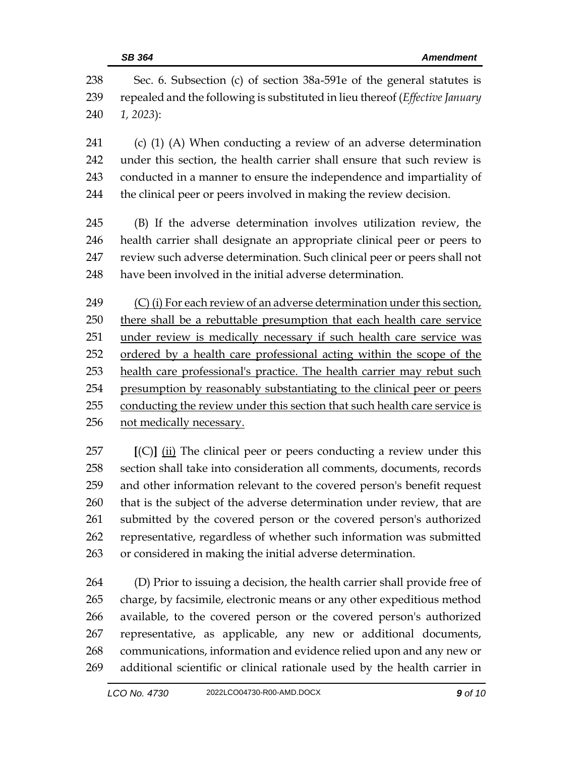| 238<br>239<br>240 | Sec. 6. Subsection (c) of section 38a-591e of the general statutes is<br>repealed and the following is substituted in lieu thereof (Effective January<br>$1, 2023$ : |  |  |  |
|-------------------|----------------------------------------------------------------------------------------------------------------------------------------------------------------------|--|--|--|
| 241               | $(c)$ (1) (A) When conducting a review of an adverse determination                                                                                                   |  |  |  |
| 242               | under this section, the health carrier shall ensure that such review is                                                                                              |  |  |  |
| 243               | conducted in a manner to ensure the independence and impartiality of                                                                                                 |  |  |  |
| 244               | the clinical peer or peers involved in making the review decision.                                                                                                   |  |  |  |
| 245               | (B) If the adverse determination involves utilization review, the                                                                                                    |  |  |  |
| 246               | health carrier shall designate an appropriate clinical peer or peers to                                                                                              |  |  |  |
| 247               | review such adverse determination. Such clinical peer or peers shall not                                                                                             |  |  |  |
| 248               | have been involved in the initial adverse determination.                                                                                                             |  |  |  |
| 249               | (C) (i) For each review of an adverse determination under this section,                                                                                              |  |  |  |
| 250               | there shall be a rebuttable presumption that each health care service                                                                                                |  |  |  |
| 251               | under review is medically necessary if such health care service was                                                                                                  |  |  |  |
| 252               | ordered by a health care professional acting within the scope of the                                                                                                 |  |  |  |
| 253               | health care professional's practice. The health carrier may rebut such                                                                                               |  |  |  |
| 254               | presumption by reasonably substantiating to the clinical peer or peers                                                                                               |  |  |  |
| 255               | conducting the review under this section that such health care service is                                                                                            |  |  |  |
| 256               | not medically necessary.                                                                                                                                             |  |  |  |

 **[**(C)**]** (ii) The clinical peer or peers conducting a review under this section shall take into consideration all comments, documents, records and other information relevant to the covered person's benefit request that is the subject of the adverse determination under review, that are submitted by the covered person or the covered person's authorized representative, regardless of whether such information was submitted or considered in making the initial adverse determination.

 (D) Prior to issuing a decision, the health carrier shall provide free of charge, by facsimile, electronic means or any other expeditious method available, to the covered person or the covered person's authorized representative, as applicable, any new or additional documents, communications, information and evidence relied upon and any new or additional scientific or clinical rationale used by the health carrier in